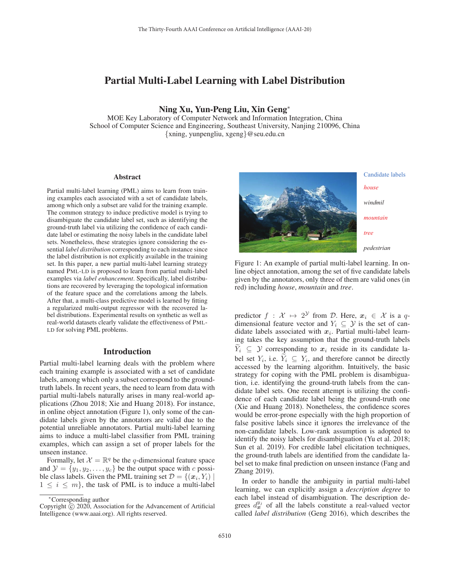# Partial Multi-Label Learning with Label Distribution

Ning Xu, Yun-Peng Liu, Xin Geng<sup>∗</sup>

MOE Key Laboratory of Computer Network and Information Integration, China School of Computer Science and Engineering, Southeast University, Nanjing 210096, China {xning, yunpengliu, xgeng}@seu.edu.cn

#### Abstract

Partial multi-label learning (PML) aims to learn from training examples each associated with a set of candidate labels, among which only a subset are valid for the training example. The common strategy to induce predictive model is trying to disambiguate the candidate label set, such as identifying the ground-truth label via utilizing the confidence of each candidate label or estimating the noisy labels in the candidate label sets. Nonetheless, these strategies ignore considering the essential *label distribution* corresponding to each instance since the label distribution is not explicitly available in the training set. In this paper, a new partial multi-label learning strategy named PML-LD is proposed to learn from partial multi-label examples via *label enhancement*. Specifically, label distributions are recovered by leveraging the topological information of the feature space and the correlations among the labels. After that, a multi-class predictive model is learned by fitting a regularized multi-output regressor with the recovered label distributions. Experimental results on synthetic as well as real-world datasets clearly validate the effectiveness of PML-LD for solving PML problems.

### Introduction

Partial multi-label learning deals with the problem where each training example is associated with a set of candidate labels, among which only a subset correspond to the groundtruth labels. In recent years, the need to learn from data with partial multi-labels naturally arises in many real-world applications (Zhou 2018; Xie and Huang 2018). For instance, in online object annotation (Figure 1), only some of the candidate labels given by the annotators are valid due to the potential unreliable annotators. Partial multi-label learning aims to induce a multi-label classifier from PML training examples, which can assign a set of proper labels for the unseen instance.

Formally, let  $\mathcal{X} = \mathbb{R}^q$  be the q-dimensional feature space and  $\mathcal{Y} = \{y_1, y_2, \dots, y_c\}$  be the output space with c possible class labels. Given the PML training set  $\mathcal{D} = \{(\mathbf{x}_i, Y_i) \mid$  $1 \leq i \leq m$ , the task of PML is to induce a multi-label



*house windmil mountain*

*pedestrian*

Figure 1: An example of partial multi-label learning. In online object annotation, among the set of five candidate labels given by the annotators, only three of them are valid ones (in red) including *house*, *mountain* and *tree*.

predictor  $f : \mathcal{X} \mapsto 2^{\mathcal{Y}}$  from  $\mathcal{D}$ . Here,  $x_i \in \mathcal{X}$  is a qdimensional feature vector and  $Y_i \subseteq Y$  is the set of candidate labels associated with  $x_i$ . Partial multi-label learning takes the key assumption that the ground-truth labels  $\widetilde{Y}_i \subseteq \mathcal{Y}$  corresponding to  $x_i$  reside in its candidate label set  $Y_i$ , i.e.  $\widetilde{Y}_i \subseteq Y_i$ , and therefore cannot be directly accessed by the learning algorithm. Intuitively, the basic strategy for coping with the PML problem is disambiguation, i.e. identifying the ground-truth labels from the candidate label sets. One recent attempt is utilizing the confidence of each candidate label being the ground-truth one (Xie and Huang 2018). Nonetheless, the confidence scores would be error-prone especially with the high proportion of false positive labels since it ignores the irrelevance of the non-candidate labels. Low-rank assumption is adopted to identify the noisy labels for disambiguation (Yu et al. 2018; Sun et al. 2019). For credible label elicitation techniques, the ground-truth labels are identified from the candidate label set to make final prediction on unseen instance (Fang and Zhang 2019).

In order to handle the ambiguity in partial multi-label learning, we can explicitly assign a *description degree* to each label instead of disambiguation. The description degrees  $d_{\mathbf{x}}^{y_j}$  of all the labels constitute a real-valued vector called *label distribution* (Geng 2016), which describes the

<sup>∗</sup>Corresponding author

Copyright  $\odot$  2020, Association for the Advancement of Artificial Intelligence (www.aaai.org). All rights reserved.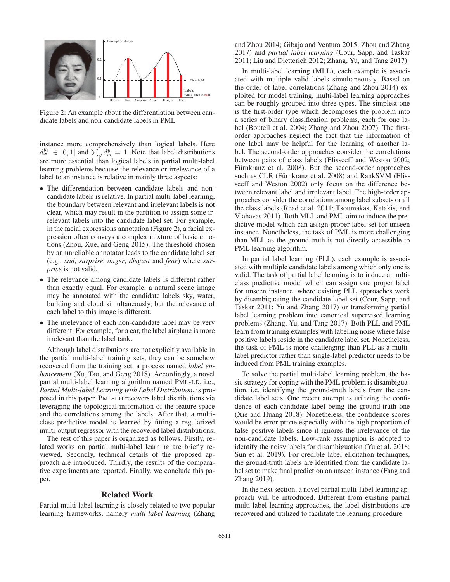

Figure 2: An example about the differentiation between candidate labels and non-candidate labels in PML

instance more comprehensively than logical labels. Here  $d_{\mathbf{x}}^{y_j} \in [0,1]$  and  $\sum_{y}^{r} d_{\mathbf{x}}^{y} = 1$ . Note that label distributions are more essential than logical labels in partial multi-label learning problems because the relevance or irrelevance of a label to an instance is relative in mainly three aspects:

- The differentiation between candidate labels and noncandidate labels is relative. In partial multi-label learning, the boundary between relevant and irrelevant labels is not clear, which may result in the partition to assign some irrelevant labels into the candidate label set. For example, in the facial expressions annotation (Figure 2), a facial expression often conveys a complex mixture of basic emotions (Zhou, Xue, and Geng 2015). The threshold chosen by an unreliable annotator leads to the candidate label set (e.g., *sad*, *surprise*, *anger*, *disgust* and *fear*) where *surprise* is not valid.
- The relevance among candidate labels is different rather than exactly equal. For example, a natural scene image may be annotated with the candidate labels sky, water, building and cloud simultaneously, but the relevance of each label to this image is different.
- The irrelevance of each non-candidate label may be very different. For example, for a car, the label airplane is more irrelevant than the label tank.

Although label distributions are not explicitly available in the partial multi-label training sets, they can be somehow recovered from the training set, a process named *label enhancement* (Xu, Tao, and Geng 2018). Accordingly, a novel partial multi-label learning algorithm named PML-LD, i.e., *Partial Multi-label Learning with Label Distribution*, is proposed in this paper. PML-LD recovers label distributions via leveraging the topological information of the feature space and the correlations among the labels. After that, a multiclass predictive model is learned by fitting a regularized multi-output regressor with the recovered label distributions.

The rest of this paper is organized as follows. Firstly, related works on partial multi-label learning are briefly reviewed. Secondly, technical details of the proposed approach are introduced. Thirdly, the results of the comparative experiments are reported. Finally, we conclude this paper.

### Related Work

Partial multi-label learning is closely related to two popular learning frameworks, namely *multi-label learning* (Zhang

and Zhou 2014; Gibaja and Ventura 2015; Zhou and Zhang 2017) and *partial label learning* (Cour, Sapp, and Taskar 2011; Liu and Dietterich 2012; Zhang, Yu, and Tang 2017).

In multi-label learning (MLL), each example is associated with multiple valid labels simultaneously. Based on the order of label correlations (Zhang and Zhou 2014) exploited for model training, multi-label learning approaches can be roughly grouped into three types. The simplest one is the first-order type which decomposes the problem into a series of binary classification problems, each for one label (Boutell et al. 2004; Zhang and Zhou 2007). The firstorder approaches neglect the fact that the information of one label may be helpful for the learning of another label. The second-order approaches consider the correlations between pairs of class labels (Elisseeff and Weston 2002; Fürnkranz et al. 2008). But the second-order approaches such as CLR (Fürnkranz et al. 2008) and RankSVM (Elisseeff and Weston 2002) only focus on the difference between relevant label and irrelevant label. The high-order approaches consider the correlations among label subsets or all the class labels (Read et al. 2011; Tsoumakas, Katakis, and Vlahavas 2011). Both MLL and PML aim to induce the predictive model which can assign proper label set for unseen instance. Nonetheless, the task of PML is more challenging than MLL as the ground-truth is not directly accessible to PML learning algorithm.

In partial label learning (PLL), each example is associated with multiple candidate labels among which only one is valid. The task of partial label learning is to induce a multiclass predictive model which can assign one proper label for unseen instance, where existing PLL approaches work by disambiguating the candidate label set (Cour, Sapp, and Taskar 2011; Yu and Zhang 2017) or transforming partial label learning problem into canonical supervised learning problems (Zhang, Yu, and Tang 2017). Both PLL and PML learn from training examples with labeling noise where false positive labels reside in the candidate label set. Nonetheless, the task of PML is more challenging than PLL as a multilabel predictor rather than single-label predictor needs to be induced from PML training examples.

To solve the partial multi-label learning problem, the basic strategy for coping with the PML problem is disambiguation, i.e. identifying the ground-truth labels from the candidate label sets. One recent attempt is utilizing the confidence of each candidate label being the ground-truth one (Xie and Huang 2018). Nonetheless, the confidence scores would be error-prone especially with the high proportion of false positive labels since it ignores the irrelevance of the non-candidate labels. Low-rank assumption is adopted to identify the noisy labels for disambiguation (Yu et al. 2018; Sun et al. 2019). For credible label elicitation techniques, the ground-truth labels are identified from the candidate label set to make final prediction on unseen instance (Fang and Zhang 2019).

In the next section, a novel partial multi-label learning approach will be introduced. Different from existing partial multi-label learning approaches, the label distributions are recovered and utilized to facilitate the learning procedure.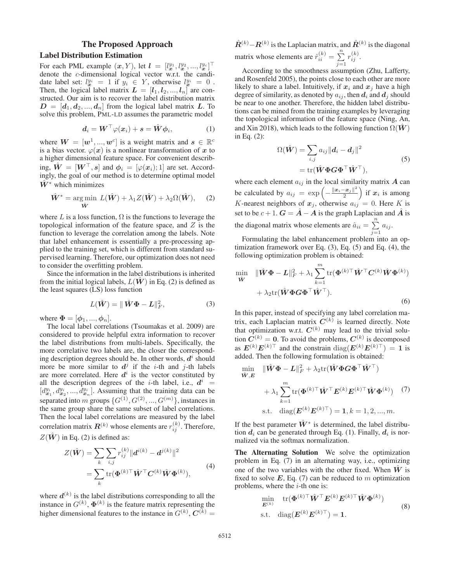# The Proposed Approach Label Distribution Estimation

For each PML example  $(x, Y)$ , let  $l = [l_x^{y_1}, l_x^{y_2}, ..., l_x^{y_c}]^{\top}$ denote the c-dimensional logical vector w.r.t. the candidate label set:  $l_x^{y_i} = 1$  if  $y_i \in Y$ , otherwise  $l_x^{y_i} = 0$ . Then, the logical label matrix  $L = [l_1, l_2, ..., l_n]$  are constructed. Our aim is to recover the label distribution matrix  $D = [d_1, d_2, ..., d_n]$  from the logical label matrix *L*. To solve this problem, PML-LD assumes the parametric model

$$
\boldsymbol{d}_i = \boldsymbol{W}^\top \varphi(\boldsymbol{x}_i) + \boldsymbol{s} = \hat{\boldsymbol{W}} \boldsymbol{\phi}_i,\tag{1}
$$

where  $W = [w^1, ..., w^c]$  is a weight matrix and  $s \in \mathbb{R}^c$ is a bias vector.  $\varphi(x)$  is a nonlinear transformation of x to a higher dimensional feature space. For convenient describing,  $\hat{W} = [W^\top, s]$  and  $\phi_i = [\varphi(x_i); 1]$  are set. Accordingly, the goal of our method is to determine optimal model  $W^*$  which minimizes

$$
\hat{\mathbf{W}}^* = \underset{\hat{\mathbf{W}}}{\arg \min} \ L(\hat{\mathbf{W}}) + \lambda_1 Z(\hat{\mathbf{W}}) + \lambda_2 \Omega(\hat{\mathbf{W}}), \quad (2)
$$

where L is a loss function,  $\Omega$  is the functions to leverage the topological information of the feature space, and  $Z$  is the function to leverage the correlation among the labels. Note that label enhancement is essentially a pre-processing applied to the training set, which is different from standard supervised learning. Therefore, our optimization does not need to consider the overfitting problem.

Since the information in the label distributions is inherited from the initial logical labels,  $L(W)$  in Eq. (2) is defined as the least squares (LS) loss function

$$
L(\hat{\mathbf{W}}) = \|\hat{\mathbf{W}}\Phi - \mathbf{L}\|_{F}^{2},\tag{3}
$$

where  $\mathbf{\Phi} = [\phi_1, ..., \phi_n].$ 

The local label correlations (Tsoumakas et al. 2009) are considered to provide helpful extra information to recover the label distributions from multi-labels. Specifically, the more correlative two labels are, the closer the corresponding description degrees should be. In other words,  $d^i$  should more be more similar to  $d^j$  if the *i*-th and *j*-th labels are more correlated. Here  $d^i$  is the vector constituted by all the description degrees of the *i*-th label, i.e.,  $d^i$  =  $[d_{\mathbf{x}_1}^{y_i}, d_{\mathbf{x}_2}^{y_i}, ..., d_{\mathbf{x}_n}^{y_i}]$ . Assuming that the training data can be separated into m groups  $\{G^{(1)}, G^{(2)}, ..., G^{(m)}\}$ , instances in the same group share the same subset of label correlations. Then the local label correlations are measured by the label correlation matrix  $\boldsymbol{R}^{(k)}$  whose elements are  $r_{ij}^{(k)}$ . Therefore,  $Z(\hat{W})$  in Eq. (2) is defined as:

$$
Z(\hat{W}) = \sum_{k} \sum_{i,j} r_{ij}^{(k)} \|d^{i(k)} - d^{j(k)}\|^2
$$
  
= 
$$
\sum_{k} tr(\Phi^{(k)\top} \hat{W}^\top C^{(k)} \hat{W} \Phi^{(k)}),
$$
 (4)

where  $d^{(k)}$  is the label distributions corresponding to all the instance in  $G^{(k)}$ ,  $\mathbf{\Phi}^{(k)}$  is the feature matrix representing the higher dimensional features to the instance in  $G^{(k)}$ ,  $C^{(k)}$  =

 $\hat{R}^{(k)} - R^{(k)}$  is the Laplacian matrix, and  $\hat{R}^{(k)}$  is the diagonal matrix whose elements are  $\hat{r}_{ii}^{(k)} = \sum_{j=1}^{n}$  $r_{ij}^{(k)}$ .

According to the smoothness assumption (Zhu, Lafferty, and Rosenfeld 2005), the points close to each other are more likely to share a label. Intuitively, if  $x_i$  and  $x_j$  have a high degree of similarity, as denoted by  $a_{ij}$ , then  $d_i$  and  $d_j$  should be near to one another. Therefore, the hidden label distributions can be mined from the training examples by leveraging the topological information of the feature space (Ning, An, and Xin 2018), which leads to the following function  $\Omega(\hat{W})$ in Eq. (2):

$$
\Omega(\hat{\mathbf{W}}) = \sum_{i,j} a_{ij} ||\mathbf{d}_i - \mathbf{d}_j||^2
$$
\n
$$
= \text{tr}(\hat{\mathbf{W}} \boldsymbol{\Phi} \mathbf{G} \boldsymbol{\Phi}^\top \hat{\mathbf{W}}^\top),
$$
\n(5)

where each element  $a_{ij}$  in the local similarity matrix  $\vec{A}$  can be calculated by  $a_{ij} = \exp\left(-\frac{\|x_i - x_j\|^2}{2}\right)$ ) if  $x_i$  is among K-nearest neighbors of  $x_j$ , otherwise  $a_{ij} = 0$ . Here K is set to be  $c + 1$ .  $G = \hat{A} - A$  is the graph Laplacian and  $\hat{A}$  is the diagonal matrix whose elements are  $\hat{a}_{ii} = \sum_{j=1}^{n} a_{ij}$ .

Formulating the label enhancement problem into an optimization framework over Eq. (3), Eq. (5) and Eq. (4), the following optimization problem is obtained:

$$
\min_{\hat{\mathbf{W}}} \quad \|\hat{\mathbf{W}}\Phi - \mathbf{L}\|_{F}^{2} + \lambda_{1} \sum_{k=1}^{m} \text{tr}(\Phi^{(k)\top}\hat{\mathbf{W}}^{\top}\mathbf{C}^{(k)}\hat{\mathbf{W}}\Phi^{(k)}) + \lambda_{2} \text{tr}(\hat{\mathbf{W}}\Phi\mathbf{G}\Phi^{\top}\hat{\mathbf{W}}^{\top}).
$$
\n(6)

In this paper, instead of specifying any label correlation matrix, each Laplacian matrix  $C^{(k)}$  is learned directly. Note that optimization w.r.t.  $C^{(k)}$  may lead to the trivial solution  $C^{(k)} = 0$ . To avoid the problems,  $C^{(k)}$  is decomposed as  $E^{(k)}E^{(k)\top}$  and the constrain diag( $E^{(k)}E^{(k)\top}$ ) = 1 is added. Then the following formulation is obtained:

$$
\begin{aligned}\n\min_{\hat{\mathbf{W}}, E} & \|\hat{\mathbf{W}} \Phi - \mathbf{L}\|_F^2 + \lambda_2 \text{tr}(\hat{\mathbf{W}} \Phi G \Phi^\top \hat{\mathbf{W}}^\top) \\
& + \lambda_1 \sum_{k=1}^m \text{tr}(\Phi^{(k)\top} \hat{\mathbf{W}}^\top \mathbf{E}^{(k)} \mathbf{E}^{(k)\top} \hat{\mathbf{W}} \Phi^{(k)}) \quad (7) \\
\text{s.t.} & \text{diag}(\mathbf{E}^{(k)} \mathbf{E}^{(k)\top}) = 1, k = 1, 2, ..., m.\n\end{aligned}
$$

If the best parameter  $\hat{W}^*$  is determined, the label distribution  $d_i$  can be generated through Eq. (1). Finally,  $d_i$  is normalized via the softmax normalization.

The Alternating Solution We solve the optimization problem in Eq. (7) in an alternating way, i.e., optimizing one of the two variables with the other fixed. When  $\hat{W}$  is fixed to solve  $E$ , Eq. (7) can be reduced to m optimization problems, where the  $i$ -th one is:

$$
\min_{\mathbf{E}^{(k)}} \quad \text{tr}(\boldsymbol{\Phi}^{(k)\top}\hat{\mathbf{W}}^{\top}\mathbf{E}^{(k)}\mathbf{E}^{(k)\top}\hat{\mathbf{W}}\boldsymbol{\Phi}^{(k)})
$$
\n
$$
\text{s.t.} \quad \text{diag}(\mathbf{E}^{(k)}\mathbf{E}^{(k)\top}) = 1.
$$
\n
$$
(8)
$$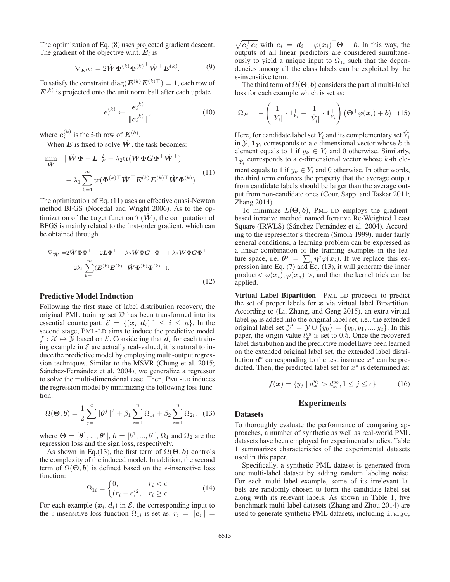The optimization of Eq. (8) uses projected gradient descent. The gradient of the objective w.r.t.  $E_i$  is

$$
\nabla_{\boldsymbol{E}^{(k)}} = 2\hat{\boldsymbol{W}} \boldsymbol{\Phi}^{(k)} {\boldsymbol{\Phi}^{(k)}}^{\top} \hat{\boldsymbol{W}}^{\top} {\boldsymbol{E}^{(k)}}. \tag{9}
$$

To satisfy the constraint  $\text{diag}(\boldsymbol{E}^{(k)}\boldsymbol{E}^{(k)\top}) = 1$ , each row of  $E^{(k)}$  is projected onto the unit norm ball after each update

$$
e_i^{(k)} \leftarrow \frac{e_i^{(k)}}{\|e_i^{(k)}\|},\tag{10}
$$

where  $e_i^{(k)}$  is the *i*-th row of  $E^{(k)}$ .

When  $E$  is fixed to solve  $\hat{W}$ , the task becomes:

$$
\min_{\hat{\mathbf{W}}} \quad \|\hat{\mathbf{W}}\boldsymbol{\Phi} - \mathbf{L}\|_{F}^{2} + \lambda_{2} \text{tr}(\hat{\mathbf{W}} \boldsymbol{\Phi} \mathbf{G} \boldsymbol{\Phi}^{\top} \hat{\mathbf{W}}^{\top}) \n+ \lambda_{1} \sum_{k=1}^{m} \text{tr}(\boldsymbol{\Phi}^{(k)\top} \hat{\mathbf{W}}^{\top} \mathbf{E}^{(k)} \mathbf{E}^{(k)\top} \hat{\mathbf{W}} \boldsymbol{\Phi}^{(k)}).
$$
\n(11)

The optimization of Eq. (11) uses an effective quasi-Newton method BFGS (Nocedal and Wright 2006). As to the optimization of the target function  $T(\hat{W})$ , the computation of BFGS is mainly related to the first-order gradient, which can be obtained through

$$
\nabla_{\hat{\mathbf{W}}} = 2\hat{\mathbf{W}}\boldsymbol{\Phi}\boldsymbol{\Phi}^{\top} - 2\boldsymbol{L}\boldsymbol{\Phi}^{\top} + \lambda_2 \hat{\mathbf{W}}\boldsymbol{\Phi}\boldsymbol{G}^{\top}\boldsymbol{\Phi}^{\top} + \lambda_2 \hat{\mathbf{W}}\boldsymbol{\Phi}\boldsymbol{G}\boldsymbol{\Phi}^{\top} + 2\lambda_1 \sum_{k=1}^{m} (\boldsymbol{E}^{(k)}\boldsymbol{E}^{(k)}^{\top}\hat{\mathbf{W}}\boldsymbol{\Phi}^{(k)}\boldsymbol{\Phi}^{(k)}^{\top}).
$$
\n(12)

### Predictive Model Induction

Following the first stage of label distribution recovery, the original PML training set  $D$  has been transformed into its essential counterpart:  $\mathcal{E} = \{(\mathbf{x}_i, \mathbf{d}_i)|1 \leq i \leq n\}$ . In the second stage, PML-LD aims to induce the predictive model  $f: \mathcal{X} \mapsto \mathcal{Y}$  based on  $\mathcal{E}$ . Considering that  $d_i$  for each training example in  $\mathcal E$  are actually real-valued, it is natural to induce the predictive model by employing multi-output regression techniques. Similar to the MSVR (Chung et al. 2015; Sánchez-Fernández et al. 2004), we generalize a regressor to solve the multi-dimensional case. Then, PML-LD induces the regression model by minimizing the following loss function:

$$
\Omega(\mathbf{\Theta}, \mathbf{b}) = \frac{1}{2} \sum_{j=1}^{c} ||\boldsymbol{\theta}^{j}||^{2} + \beta_{1} \sum_{i=1}^{n} \Omega_{1i} + \beta_{2} \sum_{i=1}^{n} \Omega_{2i}, \quad (13)
$$

where  $\Theta = [\theta^1, ..., \theta^c], b = [b^1, ..., b^c], \Omega_1$  and  $\Omega_2$  are the regression loss and the sign loss, respectively.

As shown in Eq.(13), the first term of  $\Omega(\Theta, b)$  controls the complexity of the induced model. In addition, the second term of  $\Omega(\Theta, b)$  is defined based on the  $\epsilon$ -insensitive loss function:

$$
\Omega_{1i} = \begin{cases} 0, & r_i < \epsilon \\ (r_i - \epsilon)^2, & r_i \ge \epsilon \end{cases}
$$
 (14)

For each example  $(x_i, d_i)$  in  $\mathcal{E}$ , the corresponding input to the  $\epsilon$ -insensitive loss function  $\Omega_{1i}$  is set as:  $r_i = ||e_i|| =$ 

 $\sqrt{e_i^{\top} e_i}$  with  $e_i = d_i - \varphi(x_i)^{\top} \Theta - b$ . In this way, the outputs of all linear predictors are considered simultaneously to yield a unique input to  $\Omega_{1i}$  such that the dependencies among all the class labels can be exploited by the  $\epsilon$ -insensitive term.

The third term of  $\Omega(\Theta, b)$  considers the partial multi-label loss for each example which is set as:

$$
\Omega_{2i} = -\left(\frac{1}{|Y_i|} \cdot \mathbf{1}_{Y_i}^{\top} - \frac{1}{|\hat{Y}_i|} \cdot \mathbf{1}_{\hat{Y}_i}^{\top}\right) \left(\mathbf{\Theta}^{\top} \varphi(\mathbf{x}_i) + \mathbf{b}\right) \tag{15}
$$

Here, for candidate label set  $Y_i$  and its complementary set  $Y_i$ in  $\mathcal{Y}, \mathbf{1}_{Y_i}$  corresponds to a *c*-dimensional vector whose *k*-th element equals to 1 if  $y_k \in Y_i$  and 0 otherwise. Similarly,  $\mathbf{1}_{\hat{Y}_i}$  corresponds to a *c*-dimensional vector whose *k*-th element equals to 1 if  $y_k \in Y_i$  and 0 otherwise. In other words, the third term enforces the property that the average output from candidate labels should be larger than the average out-

put from non-candidate ones (Cour, Sapp, and Taskar 2011; Zhang 2014). To minimize  $L(\Theta, b)$ , PML-LD employs the gradientbased iterative method named Iterative Re-Weighted Least Square (IRWLS) (Sánchez-Fernández et al. 2004). According to the representor's theorem (Smola 1999), under fairly general conditions, a learning problem can be expressed as a linear combination of the training examples in the feature space, i.e.  $\theta^j = \sum_i \eta^j \varphi(x_i)$ . If we replace this expression into Eq. (7) and Eq. (13), it will generate the inner

product $< \varphi(\mathbf{x}_i), \varphi(\mathbf{x}_j) >$ , and then the kernel trick can be

Virtual Label Bipartition PML-LD proceeds to predict the set of proper labels for *x* via virtual label Bipartition. According to (Li, Zhang, and Geng 2015), an extra virtual label  $y_0$  is added into the original label set, i.e., the extended original label set  $\mathcal{Y}' = \mathcal{Y} \cup \{y_0\} = \{y_0, y_1, ..., y_c\}$ . In this paper, the origin value  $l_{\mathbf{x}}^{y_0}$  is set to 0.5. Once the recovered label distribution and the predictive model have been learned on the extended original label set, the extended label distribution  $d^*$  corresponding to the test instance  $x^*$  can be predicted. Then, the predicted label set for *x*<sup>∗</sup> is determined as:

$$
f(\mathbf{x}) = \{ y_j \mid d_{\mathbf{x}}^{y_j} > d_{\mathbf{x}}^{y_0}, 1 \le j \le c \}
$$
 (16)

## Experiments

#### Datasets

applied.

To thoroughly evaluate the performance of comparing approaches, a number of synthetic as well as real-world PML datasets have been employed for experimental studies. Table 1 summarizes characteristics of the experimental datasets used in this paper.

Specifically, a synthetic PML dataset is generated from one multi-label dataset by adding random labeling noise. For each multi-label example, some of its irrelevant labels are randomly chosen to form the candidate label set along with its relevant labels. As shown in Table 1, five benchmark multi-label datasets (Zhang and Zhou 2014) are used to generate synthetic PML datasets, including image,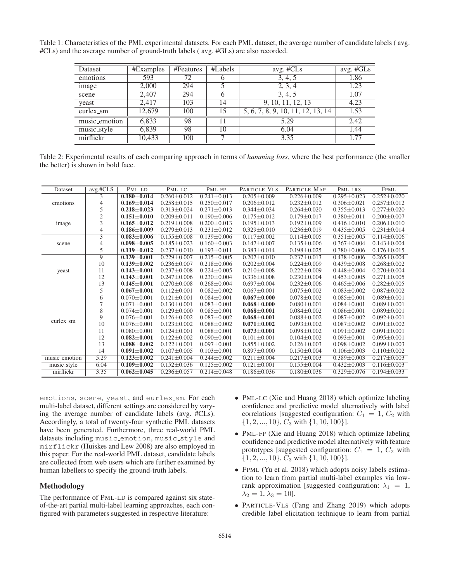Table 1: Characteristics of the PML experimental datasets. For each PML dataset, the average number of candidate labels ( avg. #CLs) and the average number of ground-truth labels ( avg. #GLs) are also recorded.

| Dataset       | #Examples | #Features | #Labels | avg. #CLs                         | avg. #GLs |
|---------------|-----------|-----------|---------|-----------------------------------|-----------|
| emotions      | 593       | 72        | O       | 3, 4, 5                           | 1.86      |
| image         | 2,000     | 294       |         | 2, 3, 4                           | 1.23      |
| scene         | 2,407     | 294       | 6       | 3, 4, 5                           | 1.07      |
| yeast         | 2,417     | 103       | 14      | 9, 10, 11, 12, 13                 | 4.23      |
| eurlex_sm     | 12,679    | 100       | 15      | 5, 6, 7, 8, 9, 10, 11, 12, 13, 14 | 1.53      |
| music_emotion | 6,833     | 98        | 11      | 5.29                              | 2.42      |
| music_style   | 6,839     | 98        | 10      | 6.04                              | 1.44      |
| mirflickr     | 10,433    | 100       |         | 3.35                              | 1.77      |

Table 2: Experimental results of each comparing approach in terms of *hamming loss*, where the best performance (the smaller the better) is shown in bold face.

| Dataset       | avg.#CLS       | PML-LD            | PML-LC            | PML-FP            | PARTICLE-VLS      | PARTICLE-MAP      | PML-LRS           | <b>FPML</b>       |
|---------------|----------------|-------------------|-------------------|-------------------|-------------------|-------------------|-------------------|-------------------|
| emotions      | 3              | $0.180 - 0.014$   | $0.260 \pm 0.012$ | $0.241 \pm 0.013$ | $0.205 \pm 0.009$ | $0.226 \pm 0.009$ | $0.295 + 0.023$   | $0.252 \pm 0.020$ |
|               | 4              | $0.169 \pm 0.014$ | $0.258 \pm 0.015$ | $0.250 \pm 0.017$ | $0.206 \pm 0.012$ | $0.232 \pm 0.012$ | $0.306 \pm 0.021$ | $0.257 \pm 0.012$ |
|               | 5              | $0.218 + 0.023$   | $0.313 \pm 0.024$ | $0.271 \pm 0.013$ | $0.344 \pm 0.034$ | $0.264 \pm 0.020$ | $0.355 \pm 0.013$ | $0.277 \pm 0.020$ |
| image         | $\overline{2}$ | $0.151 \pm 0.010$ | $0.209 \pm 0.011$ | $0.190 \pm 0.006$ | $0.175 \pm 0.012$ | $0.179 \pm 0.017$ | $0.380 \pm 0.011$ | $0.200 \pm 0.007$ |
|               | 3              | $0.165 + 0.012$   | $0.219 + 0.008$   | $0.200 + 0.013$   | $0.195 + 0.013$   | $0.192 + 0.009$   | $0.416 + 0.010$   | $0.206 + 0.010$   |
|               | 4              | $0.186 \pm 0.009$ | $0.279 \pm 0.013$ | $0.231 \pm 0.012$ | $0.329 \pm 0.010$ | $0.236 \pm 0.019$ | $0.435 \pm 0.005$ | $0.231 \pm 0.014$ |
|               | 3              | $0.083 + 0.006$   | $0.155 \pm 0.008$ | $0.139 \pm 0.006$ | $0.117 \pm 0.002$ | $0.114 \pm 0.005$ | $0.351 \pm 0.005$ | $0.114 \pm 0.006$ |
| scene         | 4              | $0.098 \pm 0.005$ | $0.185 \pm 0.023$ | $0.160 \pm 0.003$ | $0.147 \pm 0.007$ | $0.135 \pm 0.006$ | $0.367 \pm 0.004$ | $0.143 \pm 0.004$ |
|               | 5              | $0.119 \pm 0.012$ | $0.237 \pm 0.010$ | $0.193 \pm 0.011$ | $0.383 \pm 0.014$ | $0.198 \pm 0.025$ | $0.380 \pm 0.006$ | $0.176 \pm 0.015$ |
|               | $\overline{9}$ | $0.139 \pm 0.001$ | $0.229 + 0.007$   | $0.215 \pm 0.005$ | $0.207 \pm 0.010$ | $0.237 \pm 0.013$ | $0.438 \pm 0.006$ | $0.265 \pm 0.004$ |
|               | 10             | $0.139\pm0.002$   | $0.236 \pm 0.007$ | $0.218 \pm 0.006$ | $0.202 \pm 0.004$ | $0.224 \pm 0.009$ | $0.439 + 0.008$   | $0.268 \pm 0.002$ |
| yeast         | 11             | $0.143 \pm 0.001$ | $0.237 \pm 0.008$ | $0.224 \pm 0.005$ | $0.210 \pm 0.008$ | $0.222 \pm 0.009$ | $0.448 \pm 0.004$ | $0.270 \pm 0.004$ |
|               | 12             | $0.143 \pm 0.001$ | $0.247 \pm 0.006$ | $0.230 \pm 0.004$ | $0.336 \pm 0.008$ | $0.230 \pm 0.004$ | $0.453 \pm 0.005$ | $0.271 \pm 0.005$ |
|               | 13             | $0.145 \pm 0.001$ | $0.270 \pm 0.008$ | $0.268 \pm 0.004$ | $0.697 \pm 0.004$ | $0.232 \pm 0.006$ | $0.465 \pm 0.006$ | $0.282 \pm 0.005$ |
|               | 5              | $0.067 \pm 0.001$ | $0.112 \pm 0.001$ | $0.082 \pm 0.002$ | $0.067 \pm 0.001$ | $0.075 \pm 0.002$ | $0.083 \pm 0.002$ | $0.087 \pm 0.002$ |
|               | 6              | $0.070 \pm 0.001$ | $0.121 \pm 0.001$ | $0.084 \pm 0.001$ | $0.067 \pm 0.000$ | $0.078 \pm 0.002$ | $0.085 \pm 0.001$ | $0.089 \pm 0.001$ |
|               |                | $0.071 \pm 0.001$ | $0.130 \pm 0.001$ | $0.083 \pm 0.001$ | $0.068 \pm 0.000$ | $0.080 \pm 0.001$ | $0.084 \pm 0.001$ | $0.089 \pm 0.001$ |
|               | 8              | $0.074 + 0.001$   | $0.129 + 0.000$   | $0.085 + 0.001$   | $0.068 + 0.001$   | $0.084 + 0.002$   | $0.086 + 0.001$   | $0.089 + 0.001$   |
|               | 9              | $0.076 \pm 0.001$ | $0.126 \pm 0.002$ | $0.087 \pm 0.002$ | $0.068 \pm 0.001$ | $0.088 \pm 0.002$ | $0.087 + 0.002$   | $0.092 \pm 0.001$ |
| eurlex_sm     | 10             | $0.076 \pm 0.001$ | $0.123 \pm 0.002$ | $0.088 \pm 0.002$ | $0.071 \pm 0.002$ | $0.093 \pm 0.002$ | $0.087 \pm 0.002$ | $0.091 \pm 0.002$ |
|               | 11             | $0.080 \pm 0.001$ | $0.124 \pm 0.001$ | $0.088 \pm 0.001$ | $0.073 \pm 0.001$ | $0.098 \pm 0.002$ | $0.091 \pm 0.002$ | $0.091 \pm 0.001$ |
|               | 12             | $0.082 \pm 0.001$ | $0.122 \pm 0.002$ | $0.090 \pm 0.001$ | $0.101 \pm 0.001$ | $0.104 \pm 0.002$ | $0.093 \pm 0.001$ | $0.095 \pm 0.001$ |
|               | 13             | $0.088 + 0.002$   | $0.122 \pm 0.001$ | $0.097 \pm 0.001$ | $0.855 \pm 0.002$ | $0.126 \pm 0.003$ | $0.098 \pm 0.002$ | $0.099 \pm 0.003$ |
|               | 14             | $0.091 \pm 0.002$ | $0.107 \pm 0.005$ | $0.103 \pm 0.001$ | $0.897 \pm 0.000$ | $0.150 \pm 0.004$ | $0.106 \pm 0.003$ | $0.110 \pm 0.002$ |
| music_emotion | 5.29           | $0.123 \pm 0.002$ | $0.241 \pm 0.004$ | $0.244 \pm 0.002$ | $0.211 \pm 0.004$ | $0.217 \pm 0.003$ | $0.389 \pm 0.003$ | $0.217 \pm 0.003$ |
| music_style   | 6.04           | $0.109 \pm 0.002$ | $0.152 \pm 0.036$ | $0.125 \pm 0.002$ | $0.121 \pm 0.001$ | $0.155 \pm 0.004$ | $0.432 \pm 0.003$ | $0.116 \pm 0.003$ |
| mirflickr     | 3.35           | $0.062 \pm 0.045$ | $0.236 \pm 0.057$ | $0.214 \pm 0.048$ | $0.186 \pm 0.036$ | $0.180 \pm 0.036$ | $0.329 \pm 0.076$ | $0.194 \pm 0.033$ |
|               |                |                   |                   |                   |                   |                   |                   |                   |

emotions, scene, yeast, and eurlex\_sm. For each multi-label dataset, different settings are considered by varying the average number of candidate labels (avg. #CLs). Accordingly, a total of twenty-four synthetic PML datasets have been generated. Furthermore, three real-world PML datasets including music\_emotion, music\_style and mirflickr (Huiskes and Lew 2008) are also employed in this paper. For the real-world PML dataset, candidate labels are collected from web users which are further examined by human labellers to specify the ground-truth labels.

### Methodology

The performance of PML-LD is compared against six stateof-the-art partial multi-label learning approaches, each configured with parameters suggested in respective literature:

- PML-LC (Xie and Huang 2018) which optimize labeling confidence and predictive model alternatively with label correlations [suggested configuration:  $C_1 = 1, C_2$  with  $\{1, 2, ..., 10\}, C_3$  with  $\{1, 10, 100\}$ .
- PML-FP (Xie and Huang 2018) which optimize labeling confidence and predictive model alternatively with feature prototypes [suggested configuration:  $C_1 = 1, C_2$  with  $\{1, 2, ..., 10\}$ ,  $C_3$  with  $\{1, 10, 100\}$ ].
- FPML (Yu et al. 2018) which adopts noisy labels estimation to learn from partial multi-label examples via lowrank approximation [suggested configuration:  $\lambda_1 = 1$ ,  $\lambda_2 = 1, \lambda_3 = 10$ .
- PARTICLE-VLS (Fang and Zhang 2019) which adopts credible label elicitation technique to learn from partial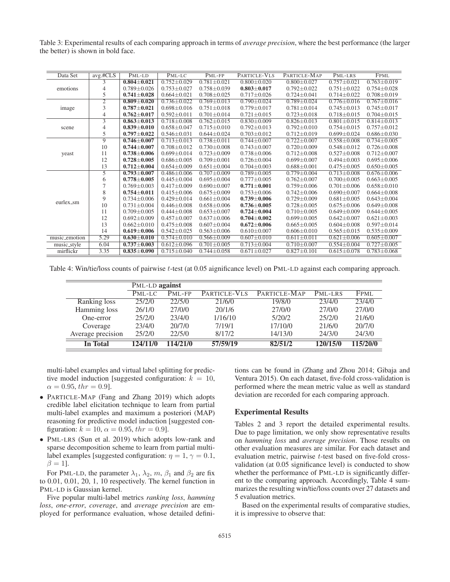Table 3: Experimental results of each comparing approach in terms of *average precision*, where the best performance (the larger the better) is shown in bold face.

| Data Set      | $avg.$ # $CLS$ | PML-LD            | PML-LC            | PML-FP            | PARTICLE-VLS      | PARTICLE-MAP      | PML-LRS           | <b>FPML</b>       |
|---------------|----------------|-------------------|-------------------|-------------------|-------------------|-------------------|-------------------|-------------------|
| emotions      | 3              | $0.804 + 0.021$   | $0.752 + 0.029$   | $0.781 + 0.021$   | $0.800 + 0.020$   | $0.800 \pm 0.027$ | $0.757 + 0.021$   | $0.763 \pm 0.019$ |
|               | $\overline{4}$ | $0.789 \pm 0.026$ | $0.753 + 0.027$   | $0.758 \pm 0.039$ | $0.803 \pm 0.017$ | $0.792 \pm 0.022$ | $0.751 + 0.022$   | $0.754 \pm 0.028$ |
|               | 5              | $0.741 + 0.028$   | $0.664 + 0.021$   | $0.708 + 0.025$   | $0.717 + 0.026$   | $0.724 + 0.041$   | $0.714 + 0.022$   | $0.708 \pm 0.019$ |
| image         | $\overline{2}$ | $0.809 \pm 0.020$ | $0.736 \pm 0.022$ | $0.769 \pm 0.013$ | $0.790 \pm 0.024$ | $0.789 \pm 0.024$ | $0.776 \pm 0.016$ | $0.767 \pm 0.016$ |
|               | 3              | $0.787 + 0.021$   | $0.698 \pm 0.016$ | $0.751 \pm 0.018$ | $0.779 \pm 0.017$ | $0.781 \pm 0.014$ | $0.745 \pm 0.013$ | $0.745 \pm 0.017$ |
|               | 4              | $0.762 \pm 0.017$ | $0.592 \pm 0.011$ | $0.701 \pm 0.014$ | $0.721 \pm 0.015$ | $0.723 \pm 0.018$ | $0.718 \pm 0.015$ | $0.704 \pm 0.015$ |
|               | $\overline{3}$ | $0.863 + 0.013$   | $0.718 \pm 0.008$ | $0.762 \pm 0.015$ | $0.830 \pm 0.009$ | $0.826 \pm 0.013$ | $0.801 \pm 0.015$ | $0.814 \pm 0.013$ |
| scene         | 4              | $0.839 + 0.010$   | $0.658 + 0.047$   | $0.715 + 0.010$   | $0.792 \pm 0.013$ | $0.792 + 0.010$   | $0.754 + 0.015$   | $0.757 + 0.012$   |
|               | 5              | $0.797 + 0.022$   | $0.546 \pm 0.031$ | $0.644 \pm 0.024$ | $0.703 \pm 0.012$ | $0.712 \pm 0.019$ | $0.699 \pm 0.024$ | $0.686 \pm 0.030$ |
| yeast         | $\overline{9}$ | $0.746 \pm 0.007$ | $0.713 \pm 0.013$ | $0.738 \pm 0.011$ | $0.744 \pm 0.007$ | $0.722 \pm 0.007$ | $0.558 + 0.008$   | $0.734 \pm 0.005$ |
|               | 10             | $0.744 \pm 0.007$ | $0.708 \pm 0.012$ | $0.730 \pm 0.008$ | $0.743 \pm 0.007$ | $0.720 \pm 0.009$ | $0.548 \pm 0.012$ | $0.726 \pm 0.008$ |
|               | 11             | $0.738 + 0.006$   | $0.699 \pm 0.014$ | $0.723 \pm 0.009$ | $0.738 \pm 0.006$ | $0.712 \pm 0.008$ | $0.527 \pm 0.008$ | $0.712 \pm 0.007$ |
|               | 12             | $0.728 + 0.005$   | $0.686 \pm 0.005$ | $0.709 \pm 0.001$ | $0.726 \pm 0.004$ | $0.699 + 0.007$   | $0.494 + 0.003$   | $0.695 \pm 0.006$ |
|               | 13             | $0.712 \pm 0.004$ | $0.654 \pm 0.009$ | $0.651 \pm 0.004$ | $0.704 \pm 0.003$ | $0.688 \pm 0.001$ | $0.475 \pm 0.005$ | $0.650 \pm 0.005$ |
|               | $\overline{5}$ | $0.793 \pm 0.007$ | $0.486 \pm 0.006$ | $0.707 \pm 0.009$ | $0.789 \pm 0.005$ | $0.779 \pm 0.004$ | $0.713 \pm 0.008$ | $0.676 \pm 0.006$ |
|               | 6              | $0.778 + 0.005$   | $0.445 \pm 0.004$ | $0.695 + 0.004$   | $0.777 + 0.005$   | $0.762 + 0.007$   | $0.700 + 0.005$   | $0.663 \pm 0.005$ |
|               |                | $0.769 \pm 0.003$ | $0.417 + 0.009$   | $0.690 \pm 0.007$ | $0.771 \pm 0.001$ | $0.759 \pm 0.006$ | $0.701 \pm 0.006$ | $0.658 \pm 0.010$ |
|               | 8              | $0.754 + 0.011$   | $0.415 + 0.006$   | $0.675 + 0.009$   | $0.753 \pm 0.006$ | $0.742 + 0.006$   | $0.690 + 0.007$   | $0.664 + 0.008$   |
|               | 9              | $0.734 \pm 0.006$ | $0.429 \pm 0.014$ | $0.661 \pm 0.004$ | $0.739 \pm 0.006$ | $0.729 \pm 0.009$ | $0.681 \pm 0.005$ | $0.643 \pm 0.004$ |
| eurlex_sm     | 10             | $0.731 \pm 0.004$ | $0.446 \pm 0.008$ | $0.658 \pm 0.006$ | $0.736 \pm 0.005$ | $0.728 \pm 0.005$ | $0.675 \pm 0.006$ | $0.649 \pm 0.008$ |
|               | 11             | $0.709 + 0.005$   | $0.444 + 0.008$   | $0.653 + 0.007$   | $0.724 + 0.004$   | $0.710 + 0.005$   | $0.649 + 0.009$   | $0.644 + 0.005$   |
|               | 12             | $0.692 + 0.009$   | $0.457 \pm 0.007$ | $0.637 \pm 0.006$ | $0.704 + 0.002$   | $0.699 \pm 0.005$ | $0.642 \pm 0.007$ | $0.621 \pm 0.003$ |
|               | 13             | $0.662 \pm 0.010$ | $0.475 \pm 0.008$ | $0.607 \pm 0.004$ | $0.672 \pm 0.006$ | $0.665 \pm 0.005$ | $0.604 + 0.008$   | $0.597 \pm 0.014$ |
|               | 14             | $0.619 + 0.006$   | $0.542 \pm 0.025$ | $0.563 \pm 0.006$ | $0.610 \pm 0.007$ | $0.606 \pm 0.010$ | $0.565 \pm 0.015$ | $0.535 \pm 0.009$ |
| music_emotion | 5.29           | $0.630 \pm 0.010$ | $0.574 \pm 0.010$ | $0.566 \pm 0.009$ | $0.607 \pm 0.010$ | $0.611 \pm 0.011$ | $0.621 \pm 0.006$ | $0.605 \pm 0.007$ |
| music_style   | 6.04           | $0.737 + 0.003$   | $0.612 \pm 0.096$ | $0.701 \pm 0.005$ | $0.713 \pm 0.004$ | $0.710 \pm 0.007$ | $0.554 \pm 0.004$ | $0.727 \pm 0.005$ |
| mirflickr     | 3.35           | $0.835 + 0.090$   | $0.715 \pm 0.040$ | $0.744 \pm 0.058$ | $0.671 \pm 0.027$ | $0.827 \pm 0.101$ | $0.615 \pm 0.078$ | $0.783 \pm 0.068$ |
|               |                |                   |                   |                   |                   |                   |                   |                   |

Table 4: Win/tie/loss counts of pairwise t-test (at 0.05 aignificance level) on PML-LD against each comparing approach.

|                        | PML-LD against |          |              |              |          |          |  |  |
|------------------------|----------------|----------|--------------|--------------|----------|----------|--|--|
|                        | PML-LC         | $PMI-FP$ | PARTICLE-VLS | PARTICLE-MAP | PML-LRS  | FPML     |  |  |
| Ranking loss           | 25/2/0         | 22/5/0   | 21/6/0       | 19/8/0       | 23/4/0   | 23/4/0   |  |  |
| Hamming loss           | 26/1/0         | 27/0/0   | 20/1/6       | 27/0/0       | 27/0/0   | 27/0/0   |  |  |
| One-error              | 25/2/0         | 23/4/0   | 1/16/10      | 5/20/2       | 25/2/0   | 21/6/0   |  |  |
| Coverage               | 23/4/0         | 20/7/0   | 7/19/1       | 17/10/0      | 21/6/0   | 20/7/0   |  |  |
| Average precision      | 25/2/0         | 22/5/0   | 8/17/2       | 14/13/0      | 24/3/0   | 24/3/0   |  |  |
| $\overline{\ln}$ Total | 124/11/0       | 114/21/0 | 57/59/19     | 82/51/2      | 120/15/0 | 115/20/0 |  |  |

multi-label examples and virtual label splitting for predictive model induction [suggested configuration:  $k = 10$ ,  $\alpha = 0.95, \, thr = 0.9$ ].

- PARTICLE-MAP (Fang and Zhang 2019) which adopts credible label elicitation technique to learn from partial multi-label examples and maximum a posteriori (MAP) reasoning for predictive model induction [suggested configuration:  $k = 10$ ,  $\alpha = 0.95$ ,  $thr = 0.9$ ].
- PML-LRS (Sun et al. 2019) which adopts low-rank and sparse decomposition scheme to learn from partial multilabel examples [suggested configuration:  $\eta = 1$ ,  $\gamma = 0.1$ ,  $\beta = 1$ ].

For PML-LD, the parameter  $\lambda_1$ ,  $\lambda_2$ ,  $m$ ,  $\beta_1$  and  $\beta_2$  are fix to 0.01, 0.01, 20, 1, 10 respectively. The kernel function in PML-LD is Gaussian kernel.

Five popular multi-label metrics *ranking loss*, *hamming loss*, *one-error*, *coverage*, and *average precision* are employed for performance evaluation, whose detailed defini-

tions can be found in (Zhang and Zhou 2014; Gibaja and Ventura 2015). On each dataset, five-fold cross-validation is performed where the mean metric value as well as standard deviation are recorded for each comparing approach.

# Experimental Results

Tables 2 and 3 report the detailed experimental results. Due to page limitation, we only show representative results on *hamming loss* and *average precision*. Those results on other evaluation measures are similar. For each dataset and evaluation metric, pairwise t-test based on five-fold crossvalidation (at 0.05 significance level) is conducted to show whether the performance of PML-LD is significantly different to the comparing approach. Accordingly, Table 4 summarizes the resulting win/tie/loss counts over 27 datasets and 5 evaluation metrics.

Based on the experimental results of comparative studies, it is impressive to observe that: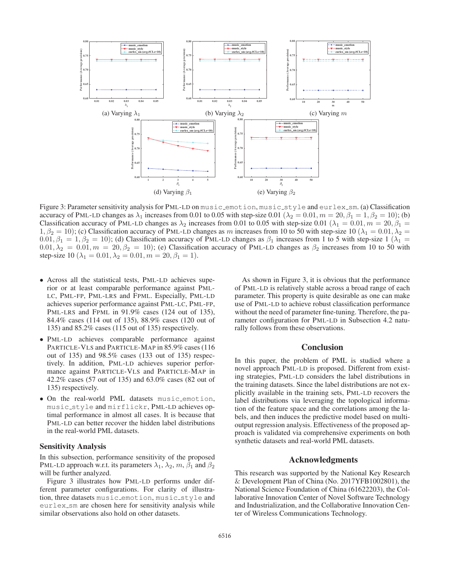

Figure 3: Parameter sensitivity analysis for PML-LD on music\_emotion, music\_style and eurlex\_sm. (a) Classification accuracy of PML-LD changes as  $\lambda_1$  increases from 0.01 to 0.05 with step-size 0.01 ( $\lambda_2 = 0.01$ ,  $m = 20$ ,  $\beta_1 = 1$ ,  $\beta_2 = 10$ ); (b) Classification accuracy of PML-LD changes as  $\lambda_2$  increases from 0.01 to 0.05 with step-size 0.01 ( $\lambda_1 = 0.01, m = 20, \beta_1 =$  $1, \beta_2 = 10$ ); (c) Classification accuracy of PML-LD changes as m increases from 10 to 50 with step-size 10 ( $\lambda_1 = 0.01, \lambda_2 = 1$ )  $(0.01, \beta_1 = 1, \beta_2 = 10)$ ; (d) Classification accuracy of PML-LD changes as  $\beta_1$  increases from 1 to 5 with step-size 1 ( $\lambda_1 =$  $0.01, \lambda_2 = 0.01, m = 20, \beta_2 = 10$ ; (e) Classification accuracy of PML-LD changes as  $\beta_2$  increases from 10 to 50 with step-size 10 ( $\lambda_1 = 0.01, \lambda_2 = 0.01, m = 20, \beta_1 = 1$ ).

- Across all the statistical tests, PML-LD achieves superior or at least comparable performance against PML-LC, PML-FP, PML-LRS and FPML. Especially, PML-LD achieves superior performance against PML-LC, PML-FP, PML-LRS and FPML in 91.9% cases (124 out of 135), 84.4% cases (114 out of 135), 88.9% cases (120 out of 135) and 85.2% cases (115 out of 135) respectively.
- PML-LD achieves comparable performance against PARTICLE-VLS and PARTICLE-MAP in 85.9% cases (116 out of 135) and 98.5% cases (133 out of 135) respectively. In addition, PML-LD achieves superior performance against PARTICLE-VLS and PARTICLE-MAP in 42.2% cases (57 out of 135) and 63.0% cases (82 out of 135) respectively.
- On the real-world PML datasets music emotion, music style and mirflickr, PML-LD achieves optimal performance in almost all cases. It is because that PML-LD can better recover the hidden label distributions in the real-world PML datasets.

### Sensitivity Analysis

In this subsection, performance sensitivity of the proposed PML-LD approach w.r.t. its parameters  $\lambda_1$ ,  $\lambda_2$ ,  $m$ ,  $\beta_1$  and  $\beta_2$ will be further analyzed.

Figure 3 illustrates how PML-LD performs under different parameter configurations. For clarity of illustration, three datasets music\_emotion, music\_style and eurlex sm are chosen here for sensitivity analysis while similar observations also hold on other datasets.

As shown in Figure 3, it is obvious that the performance of PML-LD is relatively stable across a broad range of each parameter. This property is quite desirable as one can make use of PML-LD to achieve robust classification performance without the need of parameter fine-tuning. Therefore, the parameter configuration for PML-LD in Subsection 4.2 naturally follows from these observations.

# **Conclusion**

In this paper, the problem of PML is studied where a novel approach PML-LD is proposed. Different from existing strategies, PML-LD considers the label distributions in the training datasets. Since the label distributions are not explicitly available in the training sets, PML-LD recovers the label distributions via leveraging the topological information of the feature space and the correlations among the labels, and then induces the predictive model based on multioutput regression analysis. Effectiveness of the proposed approach is validated via comprehensive experiments on both synthetic datasets and real-world PML datasets.

# Acknowledgments

This research was supported by the National Key Research & Development Plan of China (No. 2017YFB1002801), the National Science Foundation of China (61622203), the Collaborative Innovation Center of Novel Software Technology and Industrialization, and the Collaborative Innovation Center of Wireless Communications Technology.